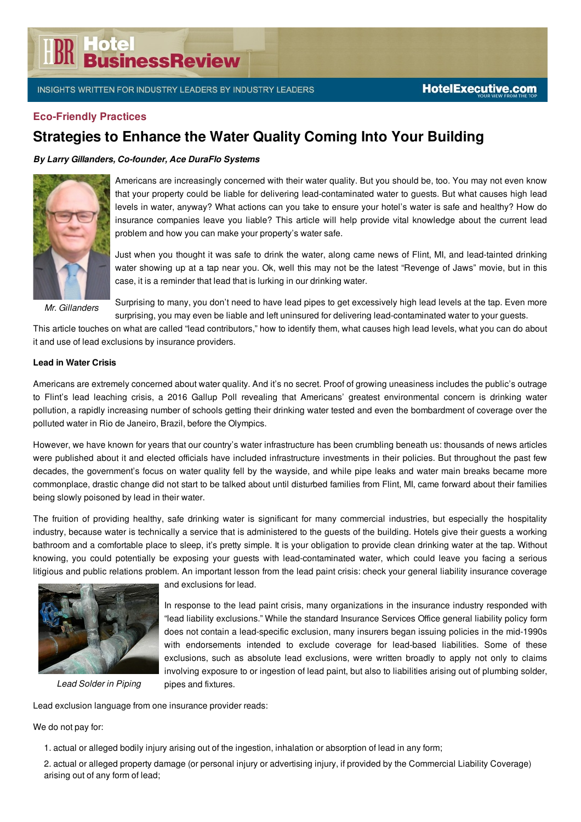# **BR** Hotel<br>**BR** BusinessReview

#### **Eco-Friendly Practices**

### **Strategies to Enhance the Water Quality Coming Into Your Building**

#### *By Larry Gillanders, Co-founder, Ace DuraFlo Systems*



Americans are increasingly concerned with their water quality. But you should be, too. You may not even know that your property could be liable for delivering lead-contaminated water to guests. But what causes high lead levels in water, anyway? What actions can you take to ensure your hotel's water is safe and healthy? How do insurance companies leave you liable? This article will help provide vital knowledge about the current lead problem and how you can make your property's water safe.

Just when you thought it was safe to drink the water, along came news of Flint, MI, and lead-tainted drinking water showing up at a tap near you. Ok, well this may not be the latest "Revenge of Jaws" movie, but in this case, it is a reminder that lead that is lurking in our drinking water.

*Mr. Gillanders*

Surprising to many, you don't need to have lead pipes to get excessively high lead levels at the tap. Even more surprising, you may even be liable and left uninsured for delivering lead-contaminated water to your guests.

This article touches on what are called "lead contributors," how to identify them, what causes high lead levels, what you can do about it and use of lead exclusions by insurance providers.

#### **Lead in Water Crisis**

Americans are extremely concerned about water quality. And it's no secret. Proof of growing uneasiness includes the public's outrage to Flint's lead leaching crisis, a 2016 Gallup Poll revealing that Americans' greatest environmental concern is drinking water pollution, a rapidly increasing number of schools getting their drinking water tested and even the bombardment of coverage over the polluted water in Rio de Janeiro, Brazil, before the Olympics.

However, we have known for years that our country's water infrastructure has been crumbling beneath us: thousands of news articles were published about it and elected officials have included infrastructure investments in their policies. But throughout the past few decades, the government's focus on water quality fell by the wayside, and while pipe leaks and water main breaks became more commonplace, drastic change did not start to be talked about until disturbed families from Flint, MI, came forward about their families being slowly poisoned by lead in their water.

The fruition of providing healthy, safe drinking water is significant for many commercial industries, but especially the hospitality industry, because water is technically a service that is administered to the guests of the building. Hotels give their guests a working bathroom and a comfortable place to sleep, it's pretty simple. It is your obligation to provide clean drinking water at the tap. Without knowing, you could potentially be exposing your guests with lead-contaminated water, which could leave you facing a serious litigious and public relations problem. An important lesson from the lead paint crisis: check your general liability insurance coverage



*Lead Solder in Piping*

and exclusions for lead.

In response to the lead paint crisis, many organizations in the insurance industry responded with "lead liability exclusions." While the standard Insurance Services Office general liability policy form does not contain a lead-specific exclusion, many insurers began issuing policies in the mid-1990s with endorsements intended to exclude coverage for lead-based liabilities. Some of these exclusions, such as absolute lead exclusions, were written broadly to apply not only to claims involving exposure to or ingestion of lead paint, but also to liabilities arising out of plumbing solder, pipes and fixtures.

Lead exclusion language from one insurance provider reads:

We do not pay for:

1. actual or alleged bodily injury arising out of the ingestion, inhalation or absorption of lead in any form;

2. actual or alleged property damage (or personal injury or advertising injury, if provided by the Commercial Liability Coverage) arising out of any form of lead;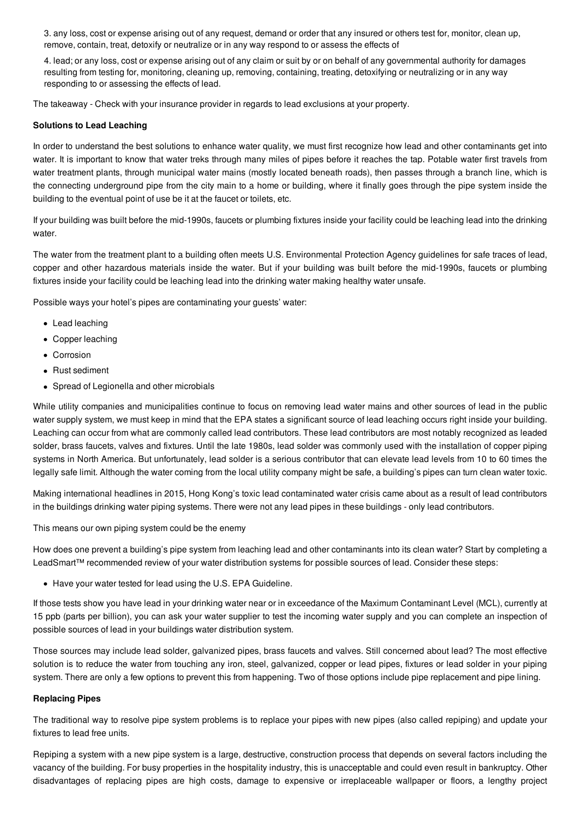3. any loss, cost or expense arising out of any request, demand or order that any insured or others test for, monitor, clean up, remove, contain, treat, detoxify or neutralize or in any way respond to or assess the effects of

4. lead; or any loss, cost or expense arising out of any claim or suit by or on behalf of any governmental authority for damages resulting from testing for, monitoring, cleaning up, removing, containing, treating, detoxifying or neutralizing or in any way responding to or assessing the effects of lead.

The takeaway - Check with your insurance provider in regards to lead exclusions at your property.

#### **Solutions to Lead Leaching**

In order to understand the best solutions to enhance water quality, we must first recognize how lead and other contaminants get into water. It is important to know that water treks through many miles of pipes before it reaches the tap. Potable water first travels from water treatment plants, through municipal water mains (mostly located beneath roads), then passes through a branch line, which is the connecting underground pipe from the city main to a home or building, where it finally goes through the pipe system inside the building to the eventual point of use be it at the faucet or toilets, etc.

If your building was built before the mid-1990s, faucets or plumbing fixtures inside your facility could be leaching lead into the drinking water.

The water from the treatment plant to a building often meets U.S. Environmental Protection Agency guidelines for safe traces of lead, copper and other hazardous materials inside the water. But if your building was built before the mid-1990s, faucets or plumbing fixtures inside your facility could be leaching lead into the drinking water making healthy water unsafe.

Possible ways your hotel's pipes are contaminating your guests' water:

- Lead leaching
- Copper leaching
- Corrosion
- Rust sediment
- Spread of Legionella and other microbials

While utility companies and municipalities continue to focus on removing lead water mains and other sources of lead in the public water supply system, we must keep in mind that the EPA states a significant source of lead leaching occurs right inside your building. Leaching can occur from what are commonly called lead contributors. These lead contributors are most notably recognized as leaded solder, brass faucets, valves and fixtures. Until the late 1980s, lead solder was commonly used with the installation of copper piping systems in North America. But unfortunately, lead solder is a serious contributor that can elevate lead levels from 10 to 60 times the legally safe limit. Although the water coming from the local utility company might be safe, a building's pipes can turn clean water toxic.

Making international headlines in 2015, Hong Kong's toxic lead contaminated water crisis came about as a result of lead contributors in the buildings drinking water piping systems. There were not any lead pipes in these buildings - only lead contributors.

This means our own piping system could be the enemy

How does one prevent a building's pipe system from leaching lead and other contaminants into its clean water? Start by completing a LeadSmart™ recommended review of your water distribution systems for possible sources of lead. Consider these steps:

Have your water tested for lead using the U.S. EPA Guideline.

If those tests show you have lead in your drinking water near or in exceedance of the Maximum Contaminant Level (MCL), currently at 15 ppb (parts per billion), you can ask your water supplier to test the incoming water supply and you can complete an inspection of possible sources of lead in your buildings water distribution system.

Those sources may include lead solder, galvanized pipes, brass faucets and valves. Still concerned about lead? The most effective solution is to reduce the water from touching any iron, steel, galvanized, copper or lead pipes, fixtures or lead solder in your piping system. There are only a few options to prevent this from happening. Two of those options include pipe replacement and pipe lining.

#### **Replacing Pipes**

The traditional way to resolve pipe system problems is to replace your pipes with new pipes (also called repiping) and update your fixtures to lead free units.

Repiping a system with a new pipe system is a large, destructive, construction process that depends on several factors including the vacancy of the building. For busy properties in the hospitality industry, this is unacceptable and could even result in bankruptcy. Other disadvantages of replacing pipes are high costs, damage to expensive or irreplaceable wallpaper or floors, a lengthy project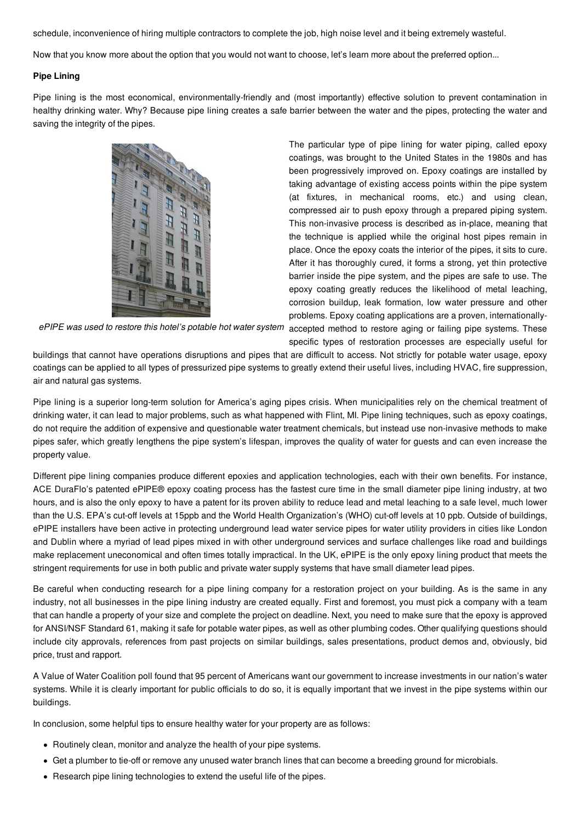schedule, inconvenience of hiring multiple contractors to complete the job, high noise level and it being extremely wasteful.

Now that you know more about the option that you would not want to choose, let's learn more about the preferred option...

#### **Pipe Lining**

Pipe lining is the most economical, environmentally-friendly and (most importantly) effective solution to prevent contamination in healthy drinking water. Why? Because pipe lining creates a safe barrier between the water and the pipes, protecting the water and saving the integrity of the pipes.



The particular type of pipe lining for water piping, called epoxy coatings, was brought to the United States in the 1980s and has been progressively improved on. Epoxy coatings are installed by taking advantage of existing access points within the pipe system (at fixtures, in mechanical rooms, etc.) and using clean, compressed air to push epoxy through a prepared piping system. This non-invasive process is described as in-place, meaning that the technique is applied while the original host pipes remain in place. Once the epoxy coats the interior of the pipes, it sits to cure. After it has thoroughly cured, it forms a strong, yet thin protective barrier inside the pipe system, and the pipes are safe to use. The epoxy coating greatly reduces the likelihood of metal leaching, corrosion buildup, leak formation, low water pressure and other problems. Epoxy coating applications are a proven, internationally-

*ePIPE was used to restore this hotel's potable hot water system* accepted method to restore aging or failing pipe systems. These

specific types of restoration processes are especially useful for

buildings that cannot have operations disruptions and pipes that are difficult to access. Not strictly for potable water usage, epoxy coatings can be applied to all types of pressurized pipe systems to greatly extend their useful lives, including HVAC, fire suppression, air and natural gas systems.

Pipe lining is a superior long-term solution for America's aging pipes crisis. When municipalities rely on the chemical treatment of drinking water, it can lead to major problems, such as what happened with Flint, MI. Pipe lining techniques, such as epoxy coatings, do not require the addition of expensive and questionable water treatment chemicals, but instead use non-invasive methods to make pipes safer, which greatly lengthens the pipe system's lifespan, improves the quality of water for guests and can even increase the property value.

Different pipe lining companies produce different epoxies and application technologies, each with their own benefits. For instance, ACE DuraFlo's patented ePIPE® epoxy coating process has the fastest cure time in the small diameter pipe lining industry, at two hours, and is also the only epoxy to have a patent for its proven ability to reduce lead and metal leaching to a safe level, much lower than the U.S. EPA's cut-off levels at 15ppb and the World Health Organization's (WHO) cut-off levels at 10 ppb. Outside of buildings, ePIPE installers have been active in protecting underground lead water service pipes for water utility providers in cities like London and Dublin where a myriad of lead pipes mixed in with other underground services and surface challenges like road and buildings make replacement uneconomical and often times totally impractical. In the UK, ePIPE is the only epoxy lining product that meets the stringent requirements for use in both public and private water supply systems that have small diameter lead pipes.

Be careful when conducting research for a pipe lining company for a restoration project on your building. As is the same in any industry, not all businesses in the pipe lining industry are created equally. First and foremost, you must pick a company with a team that can handle a property of your size and complete the project on deadline. Next, you need to make sure that the epoxy is approved for ANSI/NSF Standard 61, making it safe for potable water pipes, as well as other plumbing codes. Other qualifying questions should include city approvals, references from past projects on similar buildings, sales presentations, product demos and, obviously, bid price, trust and rapport.

A Value of Water Coalition poll found that 95 percent of Americans want our government to increase investments in our nation's water systems. While it is clearly important for public officials to do so, it is equally important that we invest in the pipe systems within our buildings.

In conclusion, some helpful tips to ensure healthy water for your property are as follows:

- Routinely clean, monitor and analyze the health of your pipe systems.
- Get a plumber to tie-off or remove any unused water branch lines that can become a breeding ground for microbials.
- Research pipe lining technologies to extend the useful life of the pipes.